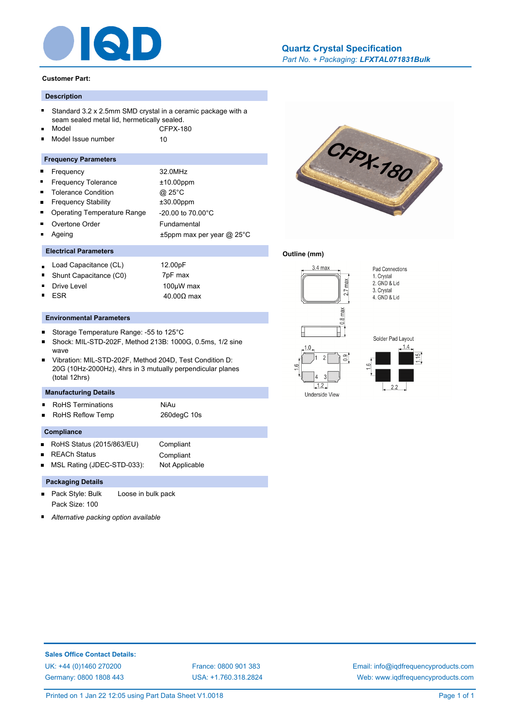

#### **Customer Part:**

## **Description**

- Standard 3.2 x 2.5mm SMD crystal in a ceramic package with a seam sealed metal lid, hermetically sealed.
- Model CFPX-180
- Model Issue number 10  $\blacksquare$

#### **Frequency Parameters**

- Frequency 32.0MHz  $\blacksquare$  $\blacksquare$
- Frequency Tolerance  $\pm 10.00$ ppm  $\blacksquare$ Tolerance Condition @ 25°C
- Frequency Stability ±30.00ppm É
- Operating Temperature Range -20.00 to 70.00°C Ē.
- Overtone Order Fundamental
- Ageing t5ppm max per year @ 25°C

## **Electrical Parameters**

- Load Capacitance (CL) 12.00pF
- Shunt Capacitance (C0) 7pF max
- Drive Level 2000 100µW max ESR  $40.00Ω$  max
- 

#### **Environmental Parameters**

- $\blacksquare$ Storage Temperature Range: -55 to 125°C
- Shock: MIL-STD-202F, Method 213B: 1000G, 0.5ms, 1/2 sine wave
- Vibration: MIL-STD-202F, Method 204D, Test Condition D: 20G (10Hz-2000Hz), 4hrs in 3 mutually perpendicular planes (total 12hrs)

## **Manufacturing Details**

- RoHS Terminations **NiAu**
- RoHS Reflow Temp 260degC 10s

#### **Compliance**

- RoHS Status (2015/863/EU) Compliant
- REACh Status Compliant

MSL Rating (JDEC-STD-033): Not Applicable

## **Packaging Details**

- Pack Style: Bulk Loose in bulk pack Pack Size: 100
- *Alternative packing option available*



CFPX-180

*Part No. + Packaging: LFXTAL071831Bulk*

**[Quartz Crystal Specification](http://www.iqdfrequencyproducts.com/products/search/?type=tcxo-tcvcxo&model=All&product-features=All&package=All&frequency=All&frequency-uom=MHz&frequency-stability=All&temperature-range=All&output=All&voltage=All)**

## **Outline (mm)**





 $\begin{array}{ccc} \end{array}$  2.2

Pad Connections 1. Crystal

2. GND & Lid 3. Crystal 4. GND & Lid



[USA: +1.760.318.2824](http://www.iqdfrequencyproducts.com)

[Email: info@iqdfrequencyproducts.com](mailto:info@iqdfrequencyproducts.com) [Web: www.iqdfrequencyproducts.com](http://www.iqdfrequencyproducts.com)